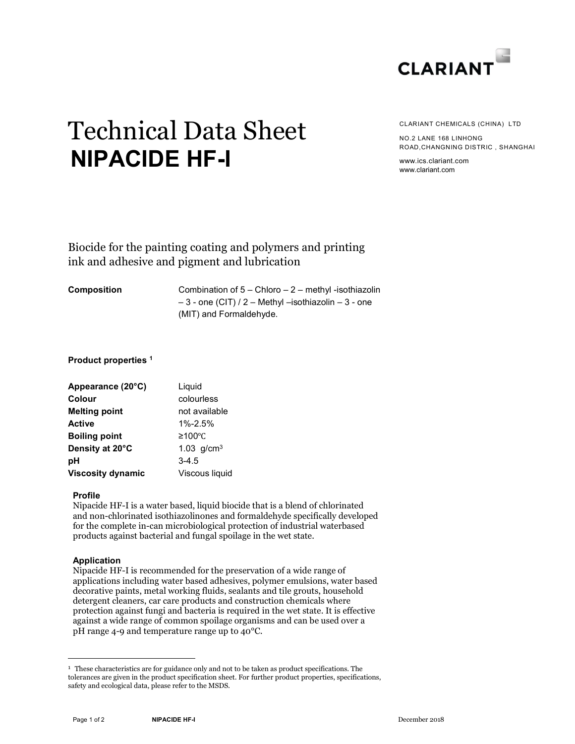

# Technical Data Sheet NIPACIDE HF-I

CLARIANT CHEMICALS (CHINA) LTD

NO.2 LANE 168 LINHONG ROAD,CHANGNING DISTRIC , SHANGHAI

www.ics.clariant.com www.clariant.com

Biocide for the painting coating and polymers and printing ink and adhesive and pigment and lubrication

Composition Combination of 5 – Chloro – 2 – methyl -isothiazolin  $-3$  - one (CIT) / 2 – Methyl –isothiazolin – 3 - one (MIT) and Formaldehyde.

# Product properties <sup>1</sup>

| Appearance (20°C)        | Liquid          |
|--------------------------|-----------------|
| Colour                   | colourless      |
| <b>Melting point</b>     | not available   |
| <b>Active</b>            | $1\% - 2.5\%$   |
| <b>Boiling point</b>     | ≥100°C          |
| Density at 20°C          | 1.03 $g/cm^{3}$ |
| рH                       | $3-4.5$         |
| <b>Viscosity dynamic</b> | Viscous liquid  |

# Profile

Nipacide HF-I is a water based, liquid biocide that is a blend of chlorinated and non-chlorinated isothiazolinones and formaldehyde specifically developed for the complete in-can microbiological protection of industrial waterbased products against bacterial and fungal spoilage in the wet state.

# Application

-

Nipacide HF-I is recommended for the preservation of a wide range of applications including water based adhesives, polymer emulsions, water based decorative paints, metal working fluids, sealants and tile grouts, household detergent cleaners, car care products and construction chemicals where protection against fungi and bacteria is required in the wet state. It is effective against a wide range of common spoilage organisms and can be used over a pH range 4-9 and temperature range up to 40°C.

<sup>&</sup>lt;sup>1</sup> These characteristics are for guidance only and not to be taken as product specifications. The tolerances are given in the product specification sheet. For further product properties, specifications, safety and ecological data, please refer to the MSDS.